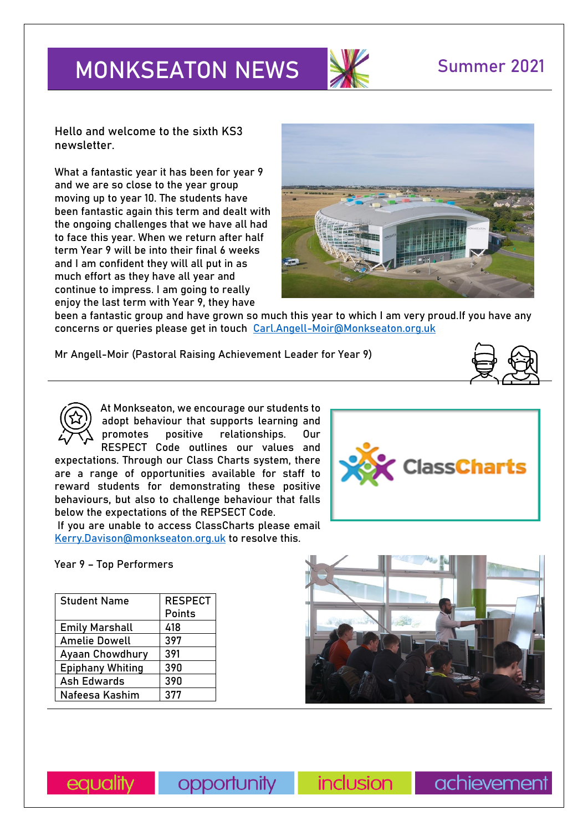# **MONKSEATON NEWS SUMMER 2021**



**Hello and welcome to the sixth KS3 newsletter.**

What a fantastic year it has been for year 9 and we are so close to the year group moving up to year 10. The students have been fantastic again this term and dealt with the ongoing challenges that we have all had to face this year. When we return after half term Year 9 will be into their final 6 weeks and I am confident they will all put in as much effort as they have all year and continue to impress. I am going to really enjoy the last term with Year 9, they have



been a fantastic group and have grown so much this year to which I am very proud.If you have any concerns or queries please get in touch [Carl.Angell-Moir@Monkseaton.org.uk](mailto:Carl.Angell-Moir@Monkseaton.org.uk) 

**Mr Angell-Moir (Pastoral Raising Achievement Leader for Year 9)** 



At Monkseaton, we encourage our students to adopt behaviour that supports learning and promotes positive relationships. Our RESPECT Code outlines our values and

expectations. Through our Class Charts system, there are a range of opportunities available for staff to reward students for demonstrating these positive behaviours, but also to challenge behaviour that falls below the expectations of the REPSECT Code.

If you are unable to access ClassCharts please email [Kerry.Davison@monkseaton.org.uk](mailto:Kerry.Davison@monkseaton.org.uk) to resolve this.

**Year 9 – Top Performers**

| <b>Student Name</b>     | <b>RESPECT</b> |
|-------------------------|----------------|
|                         | Points         |
| <b>Emily Marshall</b>   | 418            |
| <b>Amelie Dowell</b>    | 397            |
| <b>Ayaan Chowdhury</b>  | 391            |
| <b>Epiphany Whiting</b> | 390            |
| Ash Edwards             | 390            |
| Nafeesa Kashim          | 377            |





equality

opportunity

*inclusion* 

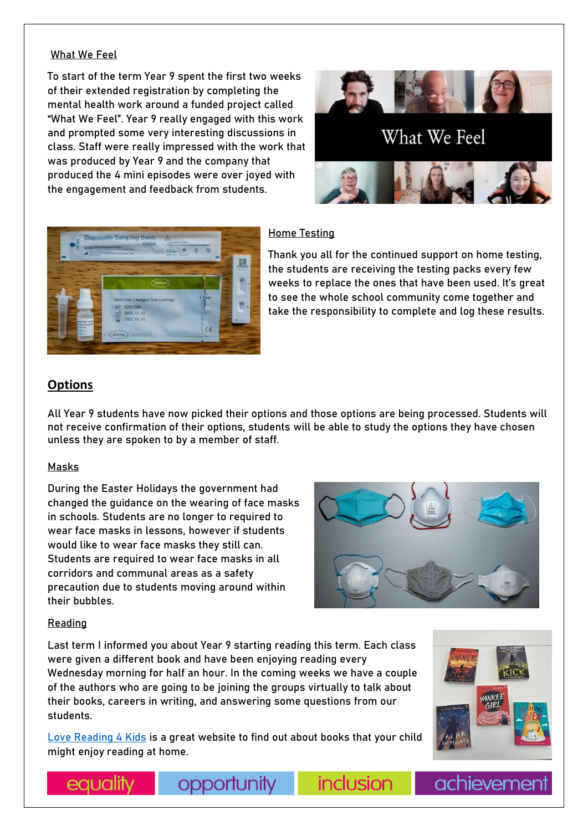#### **What We Feel**

To start of the term Year 9 spent the first two weeks of their extended registration by completing the mental health work around a funded project called "What We Feel". Year 9 really engaged with this work and prompted some very interesting discussions in class. Staff were really impressed with the work that was produced by Year 9 and the company that produced the 4 mini episodes were over joyed with the engagement and feedback from students.







### **Home Testing**

Thank you all for the continued support on home testing, the students are receiving the testing packs every few weeks to replace the ones that have been used. It's great to see the whole school community come together and take the responsibility to complete and log these results.

## **Options**

All Year 9 students have now picked their options and those options are being processed. Students will not receive confirmation of their options, students will be able to study the options they have chosen unless they are spoken to by a member of staff.

#### **Masks**

During the Easter Holidays the government had changed the guidance on the wearing of face masks in schools. Students are no longer to required to wear face masks in lessons, however if students would like to wear face masks they still can. Students are required to wear face masks in all corridors and communal areas as a safety precaution due to students moving around within their bubbles.



inclusion

#### **Reading**

equality

Last term I informed you about Year 9 starting reading this term. Each class were given a different book and have been enjoying reading every Wednesday morning for half an hour. In the coming weeks we have a couple of the authors who are going to be joining the groups virtually to talk about their books, careers in writing, and answering some questions from our students.

[Love Reading 4 Kids](https://www.lovereading4kids.co.uk/) is a great website to find out about books that your child might enjoy reading at home.

opportunity



achieveme